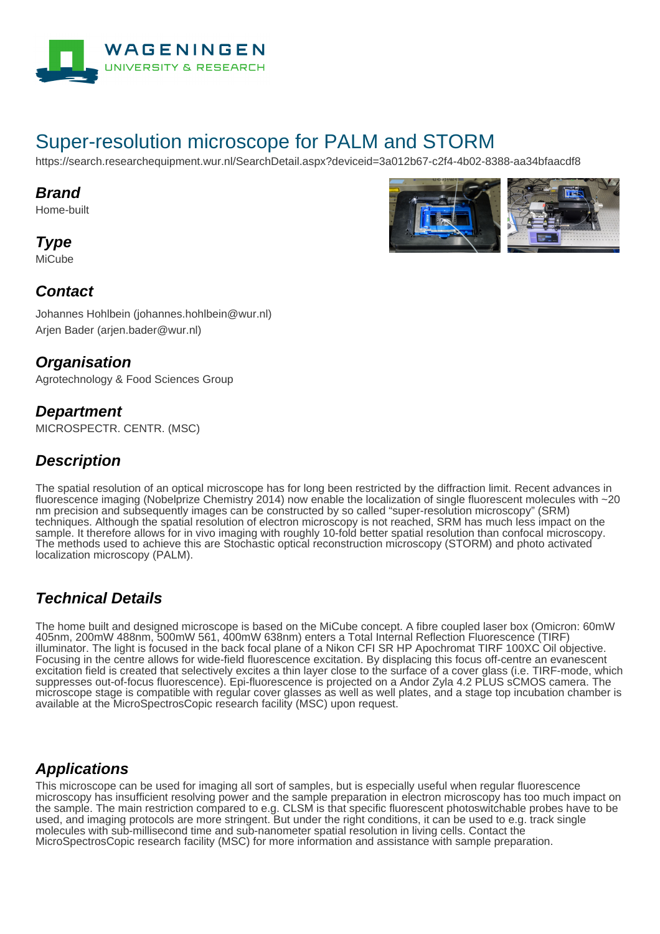

# Super-resolution microscope for PALM and STORM

https://search.researchequipment.wur.nl/SearchDetail.aspx?deviceid=3a012b67-c2f4-4b02-8388-aa34bfaacdf8

#### **Brand**

Home-built

**Type MiCube** 



#### **Contact**

Johannes Hohlbein (johannes.hohlbein@wur.nl) Arjen Bader (arjen.bader@wur.nl)

#### **Organisation**

Agrotechnology & Food Sciences Group

#### **Department**

MICROSPECTR. CENTR. (MSC)

#### **Description**

The spatial resolution of an optical microscope has for long been restricted by the diffraction limit. Recent advances in fluorescence imaging (Nobelprize Chemistry 2014) now enable the localization of single fluorescent molecules with ~20 nm precision and subsequently images can be constructed by so called "super-resolution microscopy" (SRM) techniques. Although the spatial resolution of electron microscopy is not reached, SRM has much less impact on the sample. It therefore allows for in vivo imaging with roughly 10-fold better spatial resolution than confocal microscopy. The methods used to achieve this are Stochastic optical reconstruction microscopy (STORM) and photo activated localization microscopy (PALM).

## **Technical Details**

The home built and designed microscope is based on the MiCube concept. A fibre coupled laser box (Omicron: 60mW 405nm, 200mW 488nm, 500mW 561, 400mW 638nm) enters a Total Internal Reflection Fluorescence (TIRF) illuminator. The light is focused in the back focal plane of a Nikon CFI SR HP Apochromat TIRF 100XC Oil objective. Focusing in the centre allows for wide-field fluorescence excitation. By displacing this focus off-centre an evanescent excitation field is created that selectively excites a thin layer close to the surface of a cover glass (i.e. TIRF-mode, which suppresses out-of-focus fluorescence). Epi-fluorescence is projected on a Andor Zyla 4.2 PLUS sCMOS camera. The microscope stage is compatible with regular cover glasses as well as well plates, and a stage top incubation chamber is available at the MicroSpectrosCopic research facility (MSC) upon request.

#### **Applications**

This microscope can be used for imaging all sort of samples, but is especially useful when regular fluorescence microscopy has insufficient resolving power and the sample preparation in electron microscopy has too much impact on the sample. The main restriction compared to e.g. CLSM is that specific fluorescent photoswitchable probes have to be used, and imaging protocols are more stringent. But under the right conditions, it can be used to e.g. track single molecules with sub-millisecond time and sub-nanometer spatial resolution in living cells. Contact the MicroSpectrosCopic research facility (MSC) for more information and assistance with sample preparation.